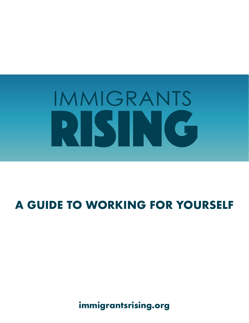

# **A GUIDE TO WORKING FOR YOURSELF**

**immigrantsrising.org**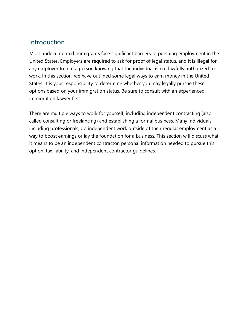### Introduction

Most undocumented immigrants face significant barriers to pursuing employment in the United States. Employers are required to ask for proof of legal status, and it is illegal for any employer to hire a person knowing that the individual is not lawfully authorized to work. In this section, we have outlined some legal ways to earn money in the United States. It is your responsibility to determine whether you may legally pursue these options based on your immigration status. Be sure to consult with an experienced immigration lawyer first.

There are multiple ways to work for yourself, including independent contracting (also called consulting or freelancing) and establishing a formal business. Many individuals, including professionals, do independent work outside of their regular employment as a way to boost earnings or lay the foundation for a business. This section will discuss what it means to be an independent contractor, personal information needed to pursue this option, tax liability, and independent contractor guidelines.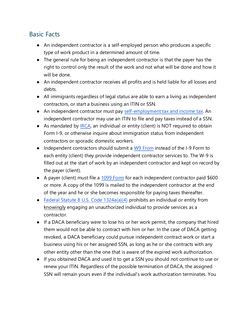### Basic Facts

- An independent contractor is a self-employed person who produces a specific type of work product in a determined amount of time.
- The general rule for being an independent contractor is that the payer has the right to control only the result of the work and not what will be done and how it will be done.
- An independent contractor receives all profits and is held liable for all losses and debts.
- All immigrants regardless of legal status are able to earn a living as independent contractors, or start a business using an ITIN or SSN.
- An independent contractor must pay [self-employment tax and income tax](https://www.irs.gov/individuals/self-employed). An independent contractor may use an ITIN to file and pay taxes instead of a SSN.
- As mandated by [IRCA,](https://www.gpo.gov/fdsys/pkg/STATUTE-100/pdf/STATUTE-100-Pg3445.pdf) an individual or entity (client) is NOT required to obtain Form I-9, or otherwise inquire about immigration status from independent contractors or sporadic domestic workers.
- Independent contractors should submit a [W9 From](https://www.irs.gov/pub/irs-pdf/fw9.pdf) instead of the I-9 Form to each entity (client) they provide independent contractor services to. The W-9 is filled out at the start of work by an independent contractor and kept on record by the payer (client).
- A payer (client) must file a [1099 Form](https://www.irs.gov/pub/irs-pdf/f1099msc.pdf) for each independent contractor paid \$600 or more. A copy of the 1099 is mailed to the independent contractor at the end of the year and he or she becomes responsible for paying taxes thereafter.
- [Federal Statute 8 U.S. Code 1324a\(a\)\(4\)](https://www.gpo.gov/fdsys/pkg/USCODE-2011-title8/pdf/USCODE-2011-title8-chap12-subchapII-partVIII-sec1324a.pdf) prohibits an individual or entity from knowingly engaging an unauthorized individual to provide services as a contractor.
- If a DACA beneficiary were to lose his or her work permit, the company that hired them would not be able to contract with him or her. In the case of DACA getting revoked, a DACA beneficiary could pursue independent contract work or start a business using his or her assigned SSN, as long as he or she contracts with any other entity other than the one that is aware of the expired work authorization.
- If you obtained DACA and used it to get a SSN you should not continue to use or renew your ITIN. Regardless of the possible termination of DACA, the assigned SSN will remain yours even if the individual's work authorization terminates. You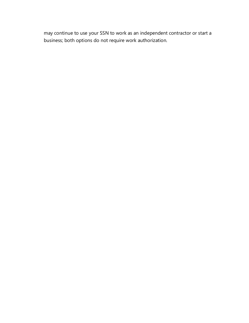may continue to use your SSN to work as an independent contractor or start a business; both options do not require work authorization.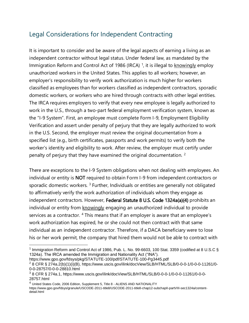## Legal Considerations for Independent Contracting

It is important to consider and be aware of the legal aspects of earning a living as an independent contractor without legal status. Under federal law, as mandated by the Immigration Reform and Control Act of 1986 (IRCA)<sup>1</sup>, it is illegal to knowingly employ unauthorized workers in the United States. This applies to all workers; however, an employer's responsibility to verify work authorization is much higher for workers classified as employees than for workers classified as independent contractors, sporadic domestic workers, or workers who are hired through contracts with other legal entities. The IRCA requires employers to verify that every new employee is legally authorized to work in the U.S., through a two-part federal employment verification system, known as the "I-9 System". First, an employee must complete Form I-9, Employment Eligibility Verification and assert under penalty of perjury that they are legally authorized to work in the U.S. Second, the employer must review the original documentation from a specified list (e.g., birth certificates, passports and work permits) to verify both the worker's identity and eligibility to work. After review, the employer must certify under penalty of perjury that they have examined the original documentation. <sup>2</sup>

There are exceptions to the I-9 System obligations when not dealing with employees. An individual or entity is NOT required to obtain Form I-9 from independent contractors or sporadic domestic workers. <sup>3</sup> Further, Individuals or entities are generally not obligated to affirmatively verify the work authorization of individuals whom they engage as independent contractors. However, Federal Statute 8 U.S. Code 1324a(a)(4) prohibits an individual or entity from knowingly engaging an unauthorized individual to provide services as a contractor. <sup>4</sup> This means that if an employer is aware that an employee's work authorization has expired, he or she could not then contract with that same individual as an independent contractor. Therefore, if a DACA beneficiary were to lose his or her work permit, the company that hired them would not be able to contract with

https://www.gpo.gov/fdsys/pkg/STATUTE-100/pdf/STATUTE-100-Pg3445.pdf

<sup>&</sup>lt;sup>1</sup> Immigration Reform and Control Act of 1986, Pub. L. No. 99-6603, 100 Stat. 3359 (codified at 8 U.S.C § 1324a). The IRCA amended the Immigration and Nationality Act ("INA").

 $28$  CFR § 274a.2(b)(1)(i)(B), https://www.uscis.gov/ilink/docView/SLB/HTML/SLB/0-0-0-1/0-0-0-11261/0-0-0-28757/0-0-0-28810.html

<sup>3</sup> 8 CFR § 274a.1, https://www.uscis.gov/ilink/docView/SLB/HTML/SLB/0-0-0-1/0-0-0-11261/0-0-0- 28757.html

<sup>&</sup>lt;sup>4</sup> United States Code, 2006 Edition, Supplement 5, Title 8 - ALIENS AND NATIONALITY

https://www.gpo.gov/fdsys/granule/USCODE-2011-title8/USCODE-2011-title8-chap12-subchapII-partVIII-sec1324a/contentdetail.html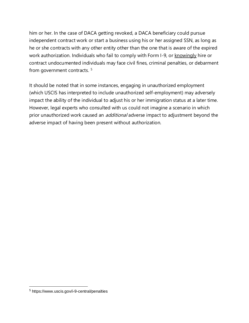him or her. In the case of DACA getting revoked, a DACA beneficiary could pursue independent contract work or start a business using his or her assigned SSN, as long as he or she contracts with any other entity other than the one that is aware of the expired work authorization. Individuals who fail to comply with Form I-9, or knowingly hire or contract undocumented individuals may face civil fines, criminal penalties, or debarment from government contracts. <sup>5</sup>

It should be noted that in some instances, engaging in unauthorized employment (which USCIS has interpreted to include unauthorized self-employment) may adversely impact the ability of the individual to adjust his or her immigration status at a later time. However, legal experts who consulted with us could not imagine a scenario in which prior unauthorized work caused an *additional* adverse impact to adjustment beyond the adverse impact of having been present without authorization.

<sup>5</sup> https://www.uscis.gov/i-9-central/penalties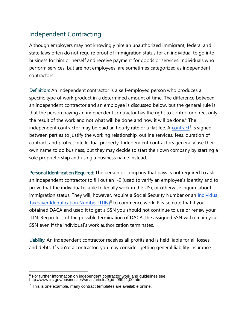# Independent Contracting

Although employers may not knowingly hire an unauthorized immigrant, federal and state laws often do not require proof of immigration status for an individual to go into business for him or herself and receive payment for goods or services. Individuals who perform services, but are not employees, are sometimes categorized as independent contractors.

Definition: An independent contractor is a self-employed person who produces a specific type of work product in a determined amount of time. The difference between an independent contractor and an employee is discussed below, but the general rule is that the person paying an independent contractor has the right to control or direct only the result of the work and not what will be done and how it will be done.<sup>6</sup> The independent [contract](https://www.docracy.com/0rgkbvacolg/independent-contractor-agreement-template)or may be paid an hourly rate or a flat fee. A contract<sup>7</sup> is signed between parties to justify the working relationship, outline services, fees, duration of contract, and protect intellectual property. Independent contractors generally use their own name to do business, but they may decide to start their own company by starting a sole proprietorship and using a business name instead.

Personal Identification Required: The person or company that pays is not required to ask an independent contractor to fill out an I-9 (used to verify an employee's identity and to prove that the individual is able to legally work in the US), or otherwise inquire about [immigration status. They will, however, require a Social Security Number or an Individual](http://www.e4fc.org/images/ITIN_Guide.pdf) Taxpayer Identification Number (ITIN)<sup>8</sup> to commence work. Please note that if you obtained DACA and used it to get a SSN you should not continue to use or renew your ITIN. Regardless of the possible termination of DACA, the assigned SSN will remain your SSN even if the individual's work authorization terminates.

Liability: An independent contractor receives all profits and is held liable for all losses and debts. If you're a contractor, you may consider getting general liability insurance

 $6$  For further information on independent contractor work and guidelines see http://www.irs.gov/businesses/small/article/0,,id=99921,00.html

 $7$  This is one example, many contract templates are available online.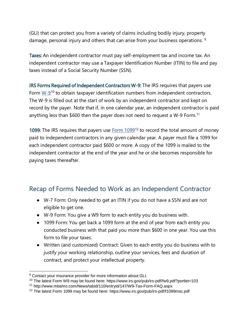(GLI) that can protect you from a variety of claims including bodily injury, property damage, personal injury and others that can arise from your business operations. <sup>9</sup>

Taxes: An independent contractor must pay self-employment tax and income tax. An independent contractor may use a Taxpayer Identification Number (ITIN) to file and pay taxes instead of a Social Security Number (SSN).

IRS Forms Required of Independent Contractors W-9: The IRS requires that payers use Form  $W-9^{10}$  $W-9^{10}$  to obtain taxpayer identification numbers from independent contractors. The W-9 is filled out at the start of work by an independent contractor and kept on record by the payer. Note that if, in one calendar year, an independent contractor is paid anything less than \$600 then the payer does not need to request a W-9 Form.<sup>11</sup>

1099: The IRS requires that payers use [Form 1099](https://www.irs.gov/pub/irs-pdf/f1099msc.pdf)<sup>12</sup> to record the total amount of money paid to independent contractors in any given calendar year. A payer must file a 1099 for each independent contractor paid \$600 or more. A copy of the 1099 is mailed to the independent contractor at the end of the year and he or she becomes responsible for paying taxes thereafter.

### Recap of Forms Needed to Work as an Independent Contractor

- W-7 Form: Only needed to get an ITIN if you do not have a SSN and are not eligible to get one.
- W-9 Form: You give a W9 form to each entity you do business with.
- 1099 Form: You get back a 1099 form at the end of year from each entity you conducted business with that paid you more than \$600 in one year. You use this form to file your taxes.
- Written (and customized) Contract: Given to each entity you do business with to justify your working relationship, outline your services, fees and duration of contract, and protect your intellectual property.

<sup>&</sup>lt;sup>9</sup> Contact your insurance provider for more information about GLI.

<sup>10</sup> The latest Form W9 may be found here: https://www.irs.gov/pub/irs-pdf/fw9.pdf?portlet=103

<sup>11</sup> http://www.mbahro.com/News/tabid/110/entryid/147/W9-Tax-Form-FAQ.aspx

 $12$  The latest Form 1099 may be found here: https://www.irs.gov/pub/irs-pdf/f1099msc.pdf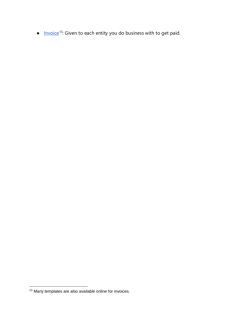● [Invoice](https://templates.office.com/en-US/Basic-invoice-TM00000042)<sup>13</sup>: Given to each entity you do business with to get paid.

<sup>&</sup>lt;sup>13</sup> Many templates are also available online for invoices.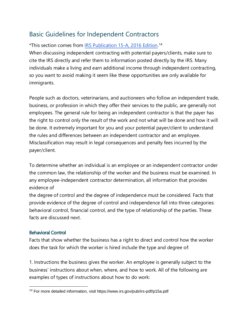# Basic Guidelines for Independent Contractors

#### \*This section comes from [IRS Publication 15-A, 2016 Edition.](https://www.irs.gov/pub/irs-pdf/p15a.pdf) 14

When discussing independent contracting with potential payers/clients, make sure to cite the IRS directly and refer them to information posted directly by the IRS. Many individuals make a living and earn additional income through independent contracting, so you want to avoid making it seem like these opportunities are only available for immigrants.

People such as doctors, veterinarians, and auctioneers who follow an independent trade, business, or profession in which they offer their services to the public, are generally not employees. The general rule for being an independent contractor is that the payer has the right to control only the result of the work and not what will be done and how it will be done. It extremely important for you and your potential payer/client to understand the rules and differences between an independent contractor and an employee. Misclassification may result in legal consequences and penalty fees incurred by the payer/client.

To determine whether an individual is an employee or an independent contractor under the common law, the relationship of the worker and the business must be examined. In any employee-independent contractor determination, all information that provides evidence of

the degree of control and the degree of independence must be considered. Facts that provide evidence of the degree of control and independence fall into three categories: behavioral control, financial control, and the type of relationship of the parties. These facts are discussed next.

#### Behavioral Control

Facts that show whether the business has a right to direct and control how the worker does the task for which the worker is hired include the type and degree of:

1. Instructions the business gives the worker. An employee is generally subject to the business' instructions about when, where, and how to work. All of the following are examples of types of instructions about how to do work:

<sup>&</sup>lt;sup>14</sup> For more detailed information, visit https://www.irs.gov/pub/irs-pdf/p15a.pdf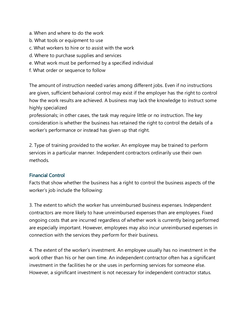- a. When and where to do the work
- b. What tools or equipment to use
- c. What workers to hire or to assist with the work
- d. Where to purchase supplies and services
- e. What work must be performed by a specified individual
- f. What order or sequence to follow

The amount of instruction needed varies among different jobs. Even if no instructions are given, sufficient behavioral control may exist if the employer has the right to control how the work results are achieved. A business may lack the knowledge to instruct some highly specialized

professionals; in other cases, the task may require little or no instruction. The key consideration is whether the business has retained the right to control the details of a worker's performance or instead has given up that right.

2. Type of training provided to the worker. An employee may be trained to perform services in a particular manner. Independent contractors ordinarily use their own methods.

#### Financial Control

Facts that show whether the business has a right to control the business aspects of the worker's job include the following:

3. The extent to which the worker has unreimbursed business expenses. Independent contractors are more likely to have unreimbursed expenses than are employees. Fixed ongoing costs that are incurred regardless of whether work is currently being performed are especially important. However, employees may also incur unreimbursed expenses in connection with the services they perform for their business.

4. The extent of the worker's investment. An employee usually has no investment in the work other than his or her own time. An independent contractor often has a significant investment in the facilities he or she uses in performing services for someone else. However, a significant investment is not necessary for independent contractor status.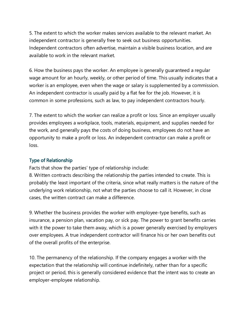5. The extent to which the worker makes services available to the relevant market. An independent contractor is generally free to seek out business opportunities. Independent contractors often advertise, maintain a visible business location, and are available to work in the relevant market.

6. How the business pays the worker. An employee is generally guaranteed a regular wage amount for an hourly, weekly, or other period of time. This usually indicates that a worker is an employee, even when the wage or salary is supplemented by a commission. An independent contractor is usually paid by a flat fee for the job. However, it is common in some professions, such as law, to pay independent contractors hourly.

7. The extent to which the worker can realize a profit or loss. Since an employer usually provides employees a workplace, tools, materials, equipment, and supplies needed for the work, and generally pays the costs of doing business, employees do not have an opportunity to make a profit or loss. An independent contractor can make a profit or loss.

#### Type of Relationship

Facts that show the parties' type of relationship include:

8. Written contracts describing the relationship the parties intended to create. This is probably the least important of the criteria, since what really matters is the nature of the underlying work relationship, not what the parties choose to call it. However, in close cases, the written contract can make a difference.

9. Whether the business provides the worker with employee-type benefits, such as insurance, a pension plan, vacation pay, or sick pay. The power to grant benefits carries with it the power to take them away, which is a power generally exercised by employers over employees. A true independent contractor will finance his or her own benefits out of the overall profits of the enterprise.

10. The permanency of the relationship. If the company engages a worker with the expectation that the relationship will continue indefinitely, rather than for a specific project or period, this is generally considered evidence that the intent was to create an employer-employee relationship.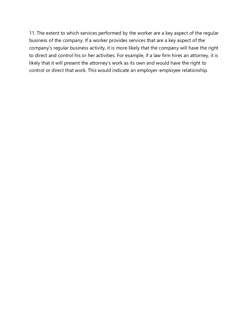11. The extent to which services performed by the worker are a key aspect of the regular business of the company. If a worker provides services that are a key aspect of the company's regular business activity, it is more likely that the company will have the right to direct and control his or her activities. For example, if a law firm hires an attorney, it is likely that it will present the attorney's work as its own and would have the right to control or direct that work. This would indicate an employer-employee relationship.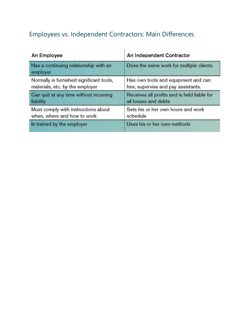# Employees vs. Independent Contractors: Main Differences

| An Employee                                       | An Independent Contractor                   |
|---------------------------------------------------|---------------------------------------------|
| Has a continuing relationship with an<br>employer | Does the same work for multiple clients     |
| Normally is furnished significant tools,          | Has own tools and equipment and can         |
| materials, etc. by the employer                   | hire, supervise and pay assistants.         |
| Can quit at any time without incurring            | Receives all profits and is held liable for |
| liability                                         | all losses and debts                        |
| Must comply with instructions about               | Sets his or her own hours and work          |
| when, where and how to work                       | schedule                                    |
| Is trained by the employer                        | Uses his or her own methods                 |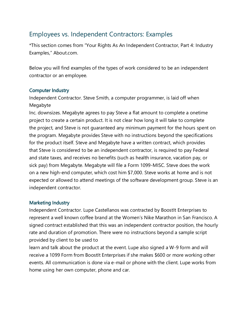## Employees vs. Independent Contractors: Examples

\*This section comes from "Your Rights As An Independent Contractor, Part 4: Industry Examples," About.com.

Below you will find examples of the types of work considered to be an independent contractor or an employee.

#### Computer Industry

Independent Contractor. Steve Smith, a computer programmer, is laid off when Megabyte

Inc. downsizes. Megabyte agrees to pay Steve a flat amount to complete a onetime project to create a certain product. It is not clear how long it will take to complete the project, and Steve is not guaranteed any minimum payment for the hours spent on the program. Megabyte provides Steve with no instructions beyond the specifications for the product itself. Steve and Megabyte have a written contract, which provides that Steve is considered to be an independent contractor, is required to pay Federal and state taxes, and receives no benefits (such as health insurance, vacation pay, or sick pay) from Megabyte. Megabyte will file a Form 1099-MISC. Steve does the work on a new high-end computer, which cost him \$7,000. Steve works at home and is not expected or allowed to attend meetings of the software development group. Steve is an independent contractor.

#### Marketing Industry

Independent Contractor. Lupe Castellanos was contracted by BoostIt Enterprises to represent a well known coffee brand at the Women's Nike Marathon in San Francisco. A signed contract established that this was an independent contractor position, the hourly rate and duration of promotion. There were no instructions beyond a sample script provided by client to be used to

learn and talk about the product at the event. Lupe also signed a W-9 form and will receive a 1099 Form from BoostIt Enterprises if she makes \$600 or more working other events. All communication is done via e-mail or phone with the client. Lupe works from home using her own computer, phone and car.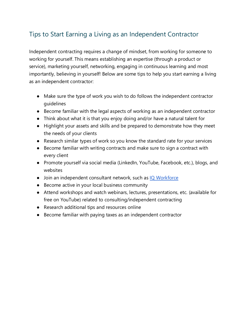# Tips to Start Earning a Living as an Independent Contractor

Independent contracting requires a change of mindset, from working for someone to working for yourself. This means establishing an expertise (through a product or service), marketing yourself, networking, engaging in continuous learning and most importantly, believing in yourself! Below are some tips to help you start earning a living as an independent contractor:

- Make sure the type of work you wish to do follows the independent contractor guidelines
- Become familiar with the legal aspects of working as an independent contractor
- Think about what it is that you enjoy doing and/or have a natural talent for
- Highlight your assets and skills and be prepared to demonstrate how they meet the needs of your clients
- Research similar types of work so you know the standard rate for your services
- Become familiar with writing contracts and make sure to sign a contract with every client
- Promote yourself via social media (LinkedIn, YouTube, Facebook, etc.), blogs, and websites
- Join an independent consultant network, such as [IQ Workforce](http://iqworkforce.force.com/careers/)
- Become active in your local business community
- Attend workshops and watch webinars, lectures, presentations, etc. (available for free on YouTube) related to consulting/independent contracting
- Research additional tips and resources online
- Become familiar with paying taxes as an independent contractor